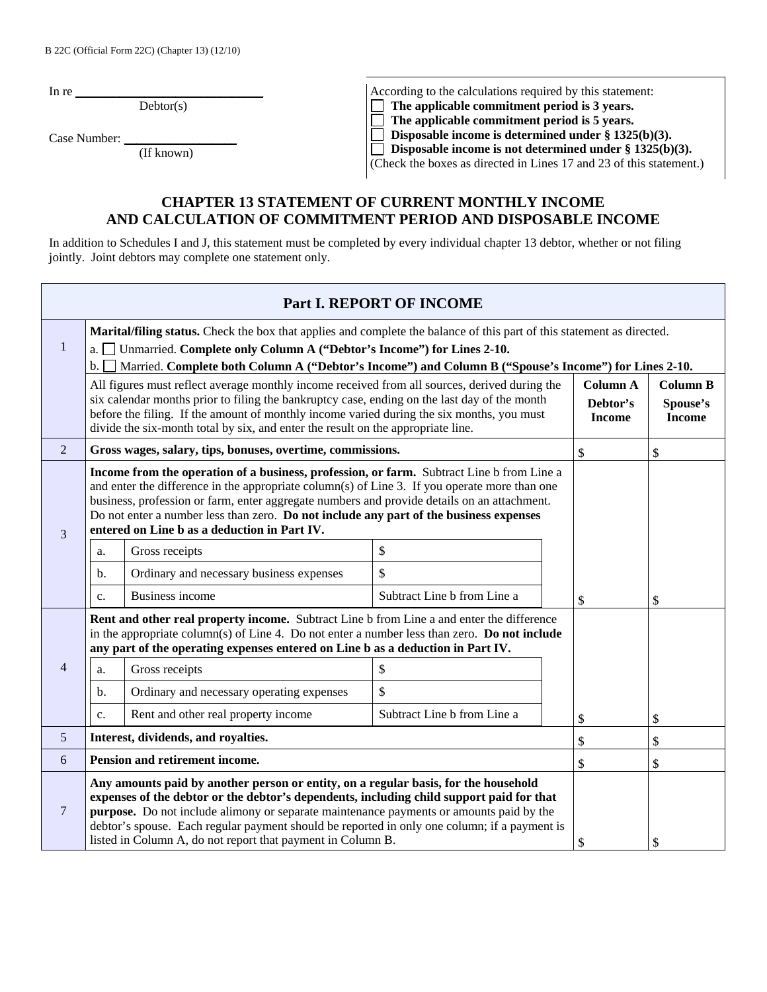In re  $\frac{1}{\sqrt{2\pi}}$ 

 $Dektor(s)$ 

Case Number:

| (If known) |  |  |  |  |  |
|------------|--|--|--|--|--|
|            |  |  |  |  |  |

According to the calculations required by this statement:<br>  $\Box$  The applicable commitment period is 3 years.<br>  $\Box$  The applicable commitment period is 5 years.  **The applicable commitment period is 3 years.**  □ The applicable commitment period is 5 years.<br>□ Disposable income is determined under § 1325  **Disposable income is determined under § 1325(b)(3). Disposable income is not determined under § 1325(b)(3).** 

(Check the boxes as directed in Lines 17 and 23 of this statement.)

## **CHAPTER 13 STATEMENT OF CURRENT MONTHLY INCOME AND CALCULATION OF COMMITMENT PERIOD AND DISPOSABLE INCOME**

In addition to Schedules I and J, this statement must be completed by every individual chapter 13 debtor, whether or not filing jointly. Joint debtors may complete one statement only.

| Part I. REPORT OF INCOME                                                                                                                                                                                                                                                                                                                                                                                                                                           |                                |                                                                                                                                                                                                                                                                                                         |                             |                                              |                                              |  |
|--------------------------------------------------------------------------------------------------------------------------------------------------------------------------------------------------------------------------------------------------------------------------------------------------------------------------------------------------------------------------------------------------------------------------------------------------------------------|--------------------------------|---------------------------------------------------------------------------------------------------------------------------------------------------------------------------------------------------------------------------------------------------------------------------------------------------------|-----------------------------|----------------------------------------------|----------------------------------------------|--|
| 1                                                                                                                                                                                                                                                                                                                                                                                                                                                                  | a.<br>b.                       | Marital/filing status. Check the box that applies and complete the balance of this part of this statement as directed.<br>Unmarried. Complete only Column A ("Debtor's Income") for Lines 2-10.<br>Married. Complete both Column A ("Debtor's Income") and Column B ("Spouse's Income") for Lines 2-10. |                             |                                              |                                              |  |
| All figures must reflect average monthly income received from all sources, derived during the<br>six calendar months prior to filing the bankruptcy case, ending on the last day of the month<br>before the filing. If the amount of monthly income varied during the six months, you must<br>divide the six-month total by six, and enter the result on the appropriate line.                                                                                     |                                |                                                                                                                                                                                                                                                                                                         |                             | <b>Column A</b><br>Debtor's<br><b>Income</b> | <b>Column B</b><br>Spouse's<br><b>Income</b> |  |
| 2                                                                                                                                                                                                                                                                                                                                                                                                                                                                  |                                | Gross wages, salary, tips, bonuses, overtime, commissions.                                                                                                                                                                                                                                              |                             | $\mathbb{S}$                                 | \$                                           |  |
| Income from the operation of a business, profession, or farm. Subtract Line b from Line a<br>and enter the difference in the appropriate column(s) of Line 3. If you operate more than one<br>business, profession or farm, enter aggregate numbers and provide details on an attachment.<br>Do not enter a number less than zero. Do not include any part of the business expenses<br>entered on Line b as a deduction in Part IV.<br>$\overline{3}$              |                                |                                                                                                                                                                                                                                                                                                         |                             |                                              |                                              |  |
|                                                                                                                                                                                                                                                                                                                                                                                                                                                                    | a.                             | Gross receipts                                                                                                                                                                                                                                                                                          | $\mathbb{S}$                |                                              |                                              |  |
|                                                                                                                                                                                                                                                                                                                                                                                                                                                                    | b.                             | Ordinary and necessary business expenses                                                                                                                                                                                                                                                                | \$                          |                                              |                                              |  |
|                                                                                                                                                                                                                                                                                                                                                                                                                                                                    | c.                             | <b>Business income</b>                                                                                                                                                                                                                                                                                  | Subtract Line b from Line a | \$                                           | \$                                           |  |
|                                                                                                                                                                                                                                                                                                                                                                                                                                                                    |                                | Rent and other real property income. Subtract Line b from Line a and enter the difference<br>in the appropriate column(s) of Line 4. Do not enter a number less than zero. <b>Do not include</b><br>any part of the operating expenses entered on Line b as a deduction in Part IV.                     |                             |                                              |                                              |  |
| $\overline{4}$                                                                                                                                                                                                                                                                                                                                                                                                                                                     | a.                             | Gross receipts                                                                                                                                                                                                                                                                                          | \$                          |                                              |                                              |  |
|                                                                                                                                                                                                                                                                                                                                                                                                                                                                    | b.                             | Ordinary and necessary operating expenses                                                                                                                                                                                                                                                               | $\mathbb{S}$                |                                              |                                              |  |
|                                                                                                                                                                                                                                                                                                                                                                                                                                                                    | c.                             | Rent and other real property income                                                                                                                                                                                                                                                                     | Subtract Line b from Line a | \$                                           | \$                                           |  |
| 5                                                                                                                                                                                                                                                                                                                                                                                                                                                                  |                                | Interest, dividends, and royalties.                                                                                                                                                                                                                                                                     |                             | \$                                           | \$                                           |  |
| 6                                                                                                                                                                                                                                                                                                                                                                                                                                                                  | Pension and retirement income. |                                                                                                                                                                                                                                                                                                         |                             | \$                                           | \$                                           |  |
| Any amounts paid by another person or entity, on a regular basis, for the household<br>expenses of the debtor or the debtor's dependents, including child support paid for that<br>$\overline{7}$<br><b>purpose.</b> Do not include alimony or separate maintenance payments or amounts paid by the<br>debtor's spouse. Each regular payment should be reported in only one column; if a payment is<br>listed in Column A, do not report that payment in Column B. |                                |                                                                                                                                                                                                                                                                                                         | \$                          | \$                                           |                                              |  |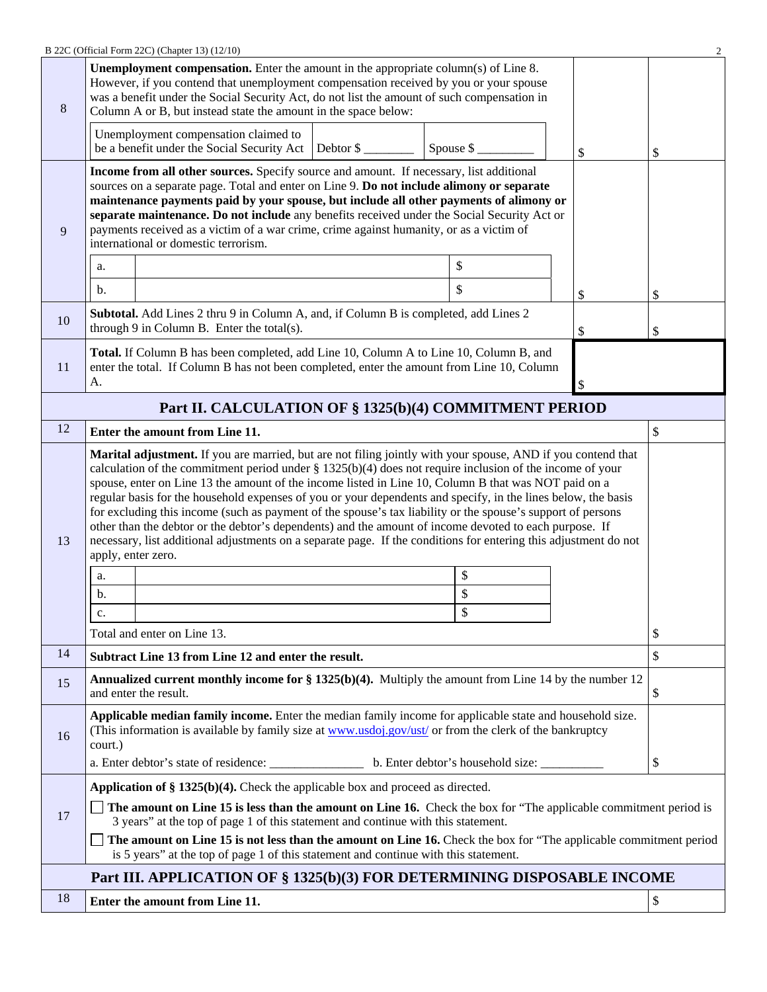|    | B 22C (Official Form 22C) (Chapter 13) (12/10)                                                                                                                                                                                                                                                                                                                                                                                                                                                                                                                                                                                                                                                                                                                                                                                                  |           |    |          |  |  |
|----|-------------------------------------------------------------------------------------------------------------------------------------------------------------------------------------------------------------------------------------------------------------------------------------------------------------------------------------------------------------------------------------------------------------------------------------------------------------------------------------------------------------------------------------------------------------------------------------------------------------------------------------------------------------------------------------------------------------------------------------------------------------------------------------------------------------------------------------------------|-----------|----|----------|--|--|
| 8  | <b>Unemployment compensation.</b> Enter the amount in the appropriate column(s) of Line 8.<br>However, if you contend that unemployment compensation received by you or your spouse<br>was a benefit under the Social Security Act, do not list the amount of such compensation in<br>Column A or B, but instead state the amount in the space below:                                                                                                                                                                                                                                                                                                                                                                                                                                                                                           |           |    |          |  |  |
|    | Unemployment compensation claimed to<br>be a benefit under the Social Security Act Debtor \$                                                                                                                                                                                                                                                                                                                                                                                                                                                                                                                                                                                                                                                                                                                                                    | Spouse \$ | \$ | \$       |  |  |
| 9  | Income from all other sources. Specify source and amount. If necessary, list additional<br>sources on a separate page. Total and enter on Line 9. Do not include alimony or separate<br>maintenance payments paid by your spouse, but include all other payments of alimony or<br>separate maintenance. Do not include any benefits received under the Social Security Act or<br>payments received as a victim of a war crime, crime against humanity, or as a victim of<br>international or domestic terrorism.<br>\$<br>a.<br>\$<br>$\mathbf b$ .<br>\$                                                                                                                                                                                                                                                                                       |           |    |          |  |  |
| 10 | Subtotal. Add Lines 2 thru 9 in Column A, and, if Column B is completed, add Lines 2<br>through $9$ in Column B. Enter the total(s).                                                                                                                                                                                                                                                                                                                                                                                                                                                                                                                                                                                                                                                                                                            |           | \$ | \$<br>\$ |  |  |
| 11 | Total. If Column B has been completed, add Line 10, Column A to Line 10, Column B, and<br>enter the total. If Column B has not been completed, enter the amount from Line 10, Column<br>А.                                                                                                                                                                                                                                                                                                                                                                                                                                                                                                                                                                                                                                                      |           |    |          |  |  |
|    | Part II. CALCULATION OF § 1325(b)(4) COMMITMENT PERIOD                                                                                                                                                                                                                                                                                                                                                                                                                                                                                                                                                                                                                                                                                                                                                                                          |           |    |          |  |  |
| 12 | Enter the amount from Line 11.                                                                                                                                                                                                                                                                                                                                                                                                                                                                                                                                                                                                                                                                                                                                                                                                                  |           |    | \$       |  |  |
| 13 | Marital adjustment. If you are married, but are not filing jointly with your spouse, AND if you contend that<br>calculation of the commitment period under $\S 1325(b)(4)$ does not require inclusion of the income of your<br>spouse, enter on Line 13 the amount of the income listed in Line 10, Column B that was NOT paid on a<br>regular basis for the household expenses of you or your dependents and specify, in the lines below, the basis<br>for excluding this income (such as payment of the spouse's tax liability or the spouse's support of persons<br>other than the debtor or the debtor's dependents) and the amount of income devoted to each purpose. If<br>necessary, list additional adjustments on a separate page. If the conditions for entering this adjustment do not<br>apply, enter zero.<br>\$<br>a.<br>\$<br>b. |           |    |          |  |  |
|    | c.                                                                                                                                                                                                                                                                                                                                                                                                                                                                                                                                                                                                                                                                                                                                                                                                                                              | \$        |    |          |  |  |
|    | Total and enter on Line 13.                                                                                                                                                                                                                                                                                                                                                                                                                                                                                                                                                                                                                                                                                                                                                                                                                     |           |    | \$       |  |  |
| 14 | Subtract Line 13 from Line 12 and enter the result.                                                                                                                                                                                                                                                                                                                                                                                                                                                                                                                                                                                                                                                                                                                                                                                             |           |    | \$       |  |  |
| 15 | <b>Annualized current monthly income for § 1325(b)(4).</b> Multiply the amount from Line 14 by the number 12<br>and enter the result.                                                                                                                                                                                                                                                                                                                                                                                                                                                                                                                                                                                                                                                                                                           |           |    | \$       |  |  |
| 16 | Applicable median family income. Enter the median family income for applicable state and household size.<br>(This information is available by family size at www.usdoj.gov/ust/ or from the clerk of the bankruptcy<br>court.)                                                                                                                                                                                                                                                                                                                                                                                                                                                                                                                                                                                                                  |           |    |          |  |  |
|    |                                                                                                                                                                                                                                                                                                                                                                                                                                                                                                                                                                                                                                                                                                                                                                                                                                                 |           |    | \$       |  |  |
| 17 | Application of $\S$ 1325(b)(4). Check the applicable box and proceed as directed.<br>The amount on Line 15 is less than the amount on Line 16. Check the box for "The applicable commitment period is<br>3 years" at the top of page 1 of this statement and continue with this statement.<br>The amount on Line 15 is not less than the amount on Line 16. Check the box for "The applicable commitment period                                                                                                                                                                                                                                                                                                                                                                                                                                 |           |    |          |  |  |
|    | is 5 years" at the top of page 1 of this statement and continue with this statement.                                                                                                                                                                                                                                                                                                                                                                                                                                                                                                                                                                                                                                                                                                                                                            |           |    |          |  |  |
|    | Part III. APPLICATION OF § 1325(b)(3) FOR DETERMINING DISPOSABLE INCOME                                                                                                                                                                                                                                                                                                                                                                                                                                                                                                                                                                                                                                                                                                                                                                         |           |    |          |  |  |
| 18 | Enter the amount from Line 11.                                                                                                                                                                                                                                                                                                                                                                                                                                                                                                                                                                                                                                                                                                                                                                                                                  |           |    | \$       |  |  |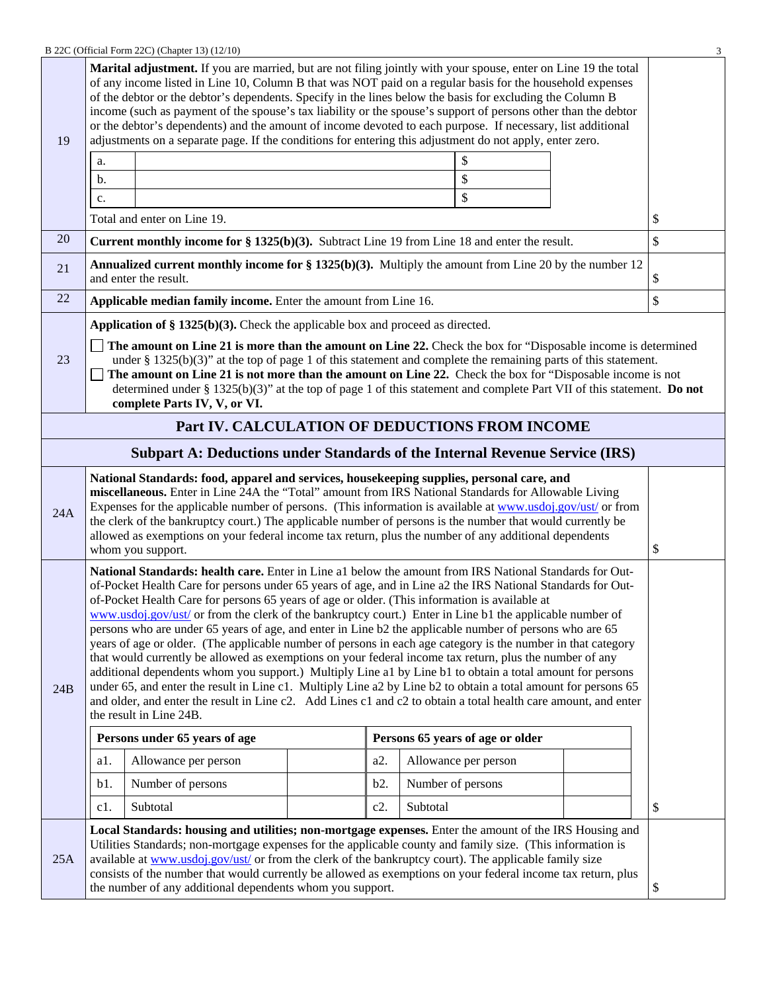|                                                                                                                                                                                                                                                                                                                                                                                                                                                                                                            |                                                                                                                                                                                                                                                                                                                                                                                                                                                                                                                                                                                                                                                                                                                                                                                                                                                                                                                                                                                                                                                                                                                                                        | B 22C (Official Form 22C) (Chapter 13) (12/10)                                                                                        |  |        |                   |                                  |    | 3  |
|------------------------------------------------------------------------------------------------------------------------------------------------------------------------------------------------------------------------------------------------------------------------------------------------------------------------------------------------------------------------------------------------------------------------------------------------------------------------------------------------------------|--------------------------------------------------------------------------------------------------------------------------------------------------------------------------------------------------------------------------------------------------------------------------------------------------------------------------------------------------------------------------------------------------------------------------------------------------------------------------------------------------------------------------------------------------------------------------------------------------------------------------------------------------------------------------------------------------------------------------------------------------------------------------------------------------------------------------------------------------------------------------------------------------------------------------------------------------------------------------------------------------------------------------------------------------------------------------------------------------------------------------------------------------------|---------------------------------------------------------------------------------------------------------------------------------------|--|--------|-------------------|----------------------------------|----|----|
| 19                                                                                                                                                                                                                                                                                                                                                                                                                                                                                                         | Marital adjustment. If you are married, but are not filing jointly with your spouse, enter on Line 19 the total<br>of any income listed in Line 10, Column B that was NOT paid on a regular basis for the household expenses<br>of the debtor or the debtor's dependents. Specify in the lines below the basis for excluding the Column B<br>income (such as payment of the spouse's tax liability or the spouse's support of persons other than the debtor<br>or the debtor's dependents) and the amount of income devoted to each purpose. If necessary, list additional<br>adjustments on a separate page. If the conditions for entering this adjustment do not apply, enter zero.<br>\$<br>a.                                                                                                                                                                                                                                                                                                                                                                                                                                                     |                                                                                                                                       |  |        |                   |                                  |    |    |
|                                                                                                                                                                                                                                                                                                                                                                                                                                                                                                            | b.                                                                                                                                                                                                                                                                                                                                                                                                                                                                                                                                                                                                                                                                                                                                                                                                                                                                                                                                                                                                                                                                                                                                                     |                                                                                                                                       |  |        |                   | \$                               |    |    |
|                                                                                                                                                                                                                                                                                                                                                                                                                                                                                                            |                                                                                                                                                                                                                                                                                                                                                                                                                                                                                                                                                                                                                                                                                                                                                                                                                                                                                                                                                                                                                                                                                                                                                        |                                                                                                                                       |  |        |                   | \$                               |    |    |
|                                                                                                                                                                                                                                                                                                                                                                                                                                                                                                            | c.                                                                                                                                                                                                                                                                                                                                                                                                                                                                                                                                                                                                                                                                                                                                                                                                                                                                                                                                                                                                                                                                                                                                                     | Total and enter on Line 19.                                                                                                           |  |        |                   |                                  |    | \$ |
| 20                                                                                                                                                                                                                                                                                                                                                                                                                                                                                                         |                                                                                                                                                                                                                                                                                                                                                                                                                                                                                                                                                                                                                                                                                                                                                                                                                                                                                                                                                                                                                                                                                                                                                        | <b>Current monthly income for <math>\S</math> 1325(b)(3).</b> Subtract Line 19 from Line 18 and enter the result.                     |  |        |                   |                                  |    | \$ |
| 21                                                                                                                                                                                                                                                                                                                                                                                                                                                                                                         |                                                                                                                                                                                                                                                                                                                                                                                                                                                                                                                                                                                                                                                                                                                                                                                                                                                                                                                                                                                                                                                                                                                                                        | <b>Annualized current monthly income for § 1325(b)(3).</b> Multiply the amount from Line 20 by the number 12<br>and enter the result. |  |        |                   |                                  |    | \$ |
| 22                                                                                                                                                                                                                                                                                                                                                                                                                                                                                                         |                                                                                                                                                                                                                                                                                                                                                                                                                                                                                                                                                                                                                                                                                                                                                                                                                                                                                                                                                                                                                                                                                                                                                        | Applicable median family income. Enter the amount from Line 16.                                                                       |  |        |                   |                                  |    | \$ |
|                                                                                                                                                                                                                                                                                                                                                                                                                                                                                                            |                                                                                                                                                                                                                                                                                                                                                                                                                                                                                                                                                                                                                                                                                                                                                                                                                                                                                                                                                                                                                                                                                                                                                        | Application of $\S 1325(b)(3)$ . Check the applicable box and proceed as directed.                                                    |  |        |                   |                                  |    |    |
| The amount on Line 21 is more than the amount on Line 22. Check the box for "Disposable income is determined<br>23<br>under § 1325(b)(3)" at the top of page 1 of this statement and complete the remaining parts of this statement.<br>The amount on Line 21 is not more than the amount on Line 22. Check the box for "Disposable income is not<br>determined under § 1325(b)(3)" at the top of page 1 of this statement and complete Part VII of this statement. Do not<br>complete Parts IV, V, or VI. |                                                                                                                                                                                                                                                                                                                                                                                                                                                                                                                                                                                                                                                                                                                                                                                                                                                                                                                                                                                                                                                                                                                                                        |                                                                                                                                       |  |        |                   |                                  |    |    |
|                                                                                                                                                                                                                                                                                                                                                                                                                                                                                                            |                                                                                                                                                                                                                                                                                                                                                                                                                                                                                                                                                                                                                                                                                                                                                                                                                                                                                                                                                                                                                                                                                                                                                        | Part IV. CALCULATION OF DEDUCTIONS FROM INCOME                                                                                        |  |        |                   |                                  |    |    |
|                                                                                                                                                                                                                                                                                                                                                                                                                                                                                                            |                                                                                                                                                                                                                                                                                                                                                                                                                                                                                                                                                                                                                                                                                                                                                                                                                                                                                                                                                                                                                                                                                                                                                        | <b>Subpart A: Deductions under Standards of the Internal Revenue Service (IRS)</b>                                                    |  |        |                   |                                  |    |    |
| 24A                                                                                                                                                                                                                                                                                                                                                                                                                                                                                                        | National Standards: food, apparel and services, housekeeping supplies, personal care, and<br>miscellaneous. Enter in Line 24A the "Total" amount from IRS National Standards for Allowable Living<br>Expenses for the applicable number of persons. (This information is available at www.usdoj.gov/ust/ or from<br>the clerk of the bankruptcy court.) The applicable number of persons is the number that would currently be<br>allowed as exemptions on your federal income tax return, plus the number of any additional dependents<br>whom you support.                                                                                                                                                                                                                                                                                                                                                                                                                                                                                                                                                                                           |                                                                                                                                       |  |        | \$                |                                  |    |    |
| 24B                                                                                                                                                                                                                                                                                                                                                                                                                                                                                                        | National Standards: health care. Enter in Line a1 below the amount from IRS National Standards for Out-<br>of-Pocket Health Care for persons under 65 years of age, and in Line a2 the IRS National Standards for Out-<br>of-Pocket Health Care for persons 65 years of age or older. (This information is available at<br>www.usdoj.gov/ust/ or from the clerk of the bankruptcy court.) Enter in Line b1 the applicable number of<br>persons who are under 65 years of age, and enter in Line b2 the applicable number of persons who are 65<br>years of age or older. (The applicable number of persons in each age category is the number in that category<br>that would currently be allowed as exemptions on your federal income tax return, plus the number of any<br>additional dependents whom you support.) Multiply Line a1 by Line b1 to obtain a total amount for persons<br>under 65, and enter the result in Line c1. Multiply Line a2 by Line b2 to obtain a total amount for persons 65<br>and older, and enter the result in Line c2. Add Lines c1 and c2 to obtain a total health care amount, and enter<br>the result in Line 24B. |                                                                                                                                       |  |        |                   |                                  |    |    |
|                                                                                                                                                                                                                                                                                                                                                                                                                                                                                                            |                                                                                                                                                                                                                                                                                                                                                                                                                                                                                                                                                                                                                                                                                                                                                                                                                                                                                                                                                                                                                                                                                                                                                        | Persons under 65 years of age                                                                                                         |  |        |                   | Persons 65 years of age or older |    |    |
|                                                                                                                                                                                                                                                                                                                                                                                                                                                                                                            | a1.                                                                                                                                                                                                                                                                                                                                                                                                                                                                                                                                                                                                                                                                                                                                                                                                                                                                                                                                                                                                                                                                                                                                                    | Allowance per person                                                                                                                  |  | a2.    |                   | Allowance per person             |    |    |
|                                                                                                                                                                                                                                                                                                                                                                                                                                                                                                            | b1.                                                                                                                                                                                                                                                                                                                                                                                                                                                                                                                                                                                                                                                                                                                                                                                                                                                                                                                                                                                                                                                                                                                                                    | Number of persons                                                                                                                     |  | b2.    | Number of persons |                                  |    |    |
|                                                                                                                                                                                                                                                                                                                                                                                                                                                                                                            | c1.                                                                                                                                                                                                                                                                                                                                                                                                                                                                                                                                                                                                                                                                                                                                                                                                                                                                                                                                                                                                                                                                                                                                                    | Subtotal                                                                                                                              |  | $c2$ . | Subtotal          |                                  |    | \$ |
| 25A                                                                                                                                                                                                                                                                                                                                                                                                                                                                                                        | Local Standards: housing and utilities; non-mortgage expenses. Enter the amount of the IRS Housing and<br>Utilities Standards; non-mortgage expenses for the applicable county and family size. (This information is<br>available at www.usdoj.gov/ust/ or from the clerk of the bankruptcy court). The applicable family size<br>consists of the number that would currently be allowed as exemptions on your federal income tax return, plus<br>the number of any additional dependents whom you support.                                                                                                                                                                                                                                                                                                                                                                                                                                                                                                                                                                                                                                            |                                                                                                                                       |  |        |                   |                                  | \$ |    |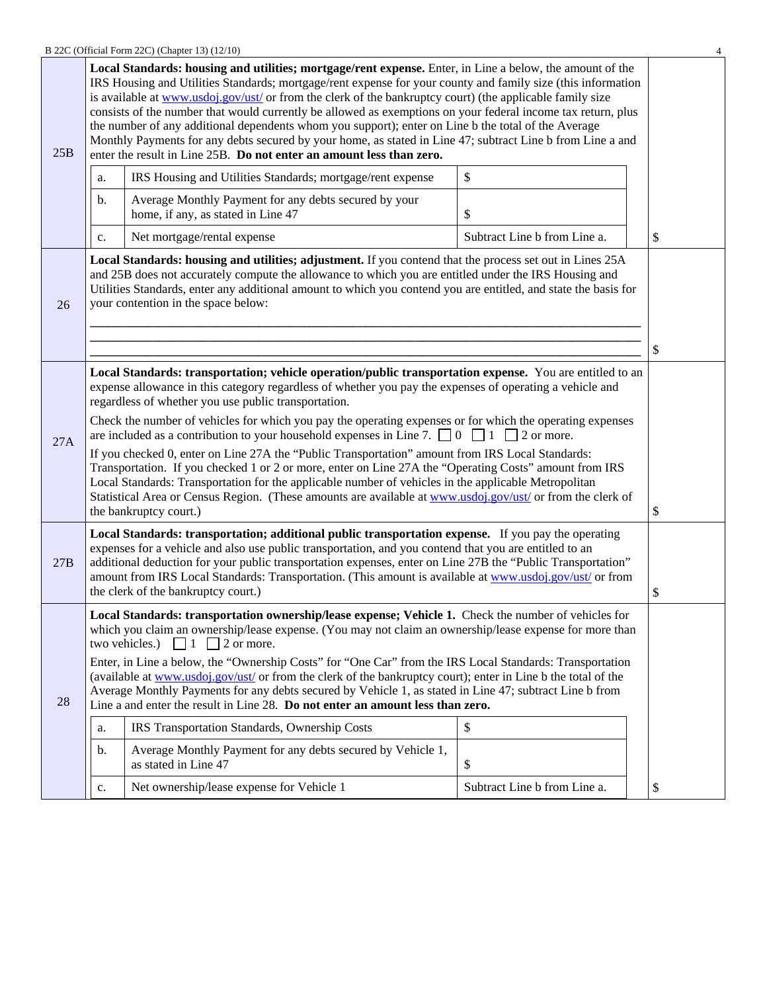| B 22C (Official Form 22C) (Chapter 13) (12/10) |  |
|------------------------------------------------|--|
|------------------------------------------------|--|

|     |                                                                                                                                                                                                                                                                                                                                                                                                                                                                                                                                                                                                                                                                                                                                                                                                                                                                                                                                                                      | B 22C (Official Form 22C) (Chapter 13) (12/10)                                                                                                                                                                                                                                                                                                                                                                                                                                                                                                                                                                                                                                                                                                     |                              | 4  |  |
|-----|----------------------------------------------------------------------------------------------------------------------------------------------------------------------------------------------------------------------------------------------------------------------------------------------------------------------------------------------------------------------------------------------------------------------------------------------------------------------------------------------------------------------------------------------------------------------------------------------------------------------------------------------------------------------------------------------------------------------------------------------------------------------------------------------------------------------------------------------------------------------------------------------------------------------------------------------------------------------|----------------------------------------------------------------------------------------------------------------------------------------------------------------------------------------------------------------------------------------------------------------------------------------------------------------------------------------------------------------------------------------------------------------------------------------------------------------------------------------------------------------------------------------------------------------------------------------------------------------------------------------------------------------------------------------------------------------------------------------------------|------------------------------|----|--|
| 25B |                                                                                                                                                                                                                                                                                                                                                                                                                                                                                                                                                                                                                                                                                                                                                                                                                                                                                                                                                                      | Local Standards: housing and utilities; mortgage/rent expense. Enter, in Line a below, the amount of the<br>IRS Housing and Utilities Standards; mortgage/rent expense for your county and family size (this information<br>is available at www.usdoj.gov/ust/ or from the clerk of the bankruptcy court) (the applicable family size<br>consists of the number that would currently be allowed as exemptions on your federal income tax return, plus<br>the number of any additional dependents whom you support); enter on Line b the total of the Average<br>Monthly Payments for any debts secured by your home, as stated in Line 47; subtract Line b from Line a and<br>enter the result in Line 25B. Do not enter an amount less than zero. |                              |    |  |
|     | a.                                                                                                                                                                                                                                                                                                                                                                                                                                                                                                                                                                                                                                                                                                                                                                                                                                                                                                                                                                   | IRS Housing and Utilities Standards; mortgage/rent expense                                                                                                                                                                                                                                                                                                                                                                                                                                                                                                                                                                                                                                                                                         | \$                           |    |  |
|     | b.                                                                                                                                                                                                                                                                                                                                                                                                                                                                                                                                                                                                                                                                                                                                                                                                                                                                                                                                                                   | Average Monthly Payment for any debts secured by your<br>home, if any, as stated in Line 47                                                                                                                                                                                                                                                                                                                                                                                                                                                                                                                                                                                                                                                        | \$                           |    |  |
|     | c.                                                                                                                                                                                                                                                                                                                                                                                                                                                                                                                                                                                                                                                                                                                                                                                                                                                                                                                                                                   | Net mortgage/rental expense                                                                                                                                                                                                                                                                                                                                                                                                                                                                                                                                                                                                                                                                                                                        | Subtract Line b from Line a. | \$ |  |
| 26  | Local Standards: housing and utilities; adjustment. If you contend that the process set out in Lines 25A<br>and 25B does not accurately compute the allowance to which you are entitled under the IRS Housing and<br>Utilities Standards, enter any additional amount to which you contend you are entitled, and state the basis for<br>your contention in the space below:                                                                                                                                                                                                                                                                                                                                                                                                                                                                                                                                                                                          |                                                                                                                                                                                                                                                                                                                                                                                                                                                                                                                                                                                                                                                                                                                                                    |                              |    |  |
| 27A | Local Standards: transportation; vehicle operation/public transportation expense. You are entitled to an<br>expense allowance in this category regardless of whether you pay the expenses of operating a vehicle and<br>regardless of whether you use public transportation.<br>Check the number of vehicles for which you pay the operating expenses or for which the operating expenses<br>are included as a contribution to your household expenses in Line 7. $\Box$ 0 $\Box$ 1 $\Box$ 2 or more.<br>If you checked 0, enter on Line 27A the "Public Transportation" amount from IRS Local Standards:<br>Transportation. If you checked 1 or 2 or more, enter on Line 27A the "Operating Costs" amount from IRS<br>Local Standards: Transportation for the applicable number of vehicles in the applicable Metropolitan<br>Statistical Area or Census Region. (These amounts are available at www.usdoj.gov/ust/ or from the clerk of<br>the bankruptcy court.)  |                                                                                                                                                                                                                                                                                                                                                                                                                                                                                                                                                                                                                                                                                                                                                    |                              |    |  |
| 27B | Local Standards: transportation; additional public transportation expense. If you pay the operating<br>expenses for a vehicle and also use public transportation, and you contend that you are entitled to an<br>additional deduction for your public transportation expenses, enter on Line 27B the "Public Transportation"<br>amount from IRS Local Standards: Transportation. (This amount is available at www.usdoj.gov/ust/ or from<br>the clerk of the bankruptcy court.)                                                                                                                                                                                                                                                                                                                                                                                                                                                                                      |                                                                                                                                                                                                                                                                                                                                                                                                                                                                                                                                                                                                                                                                                                                                                    |                              |    |  |
| 28  | \$<br>Local Standards: transportation ownership/lease expense; Vehicle 1. Check the number of vehicles for<br>which you claim an ownership/lease expense. (You may not claim an ownership/lease expense for more than<br>two vehicles.)<br>$\Box$ 1 $\Box$ 2 or more.<br>Enter, in Line a below, the "Ownership Costs" for "One Car" from the IRS Local Standards: Transportation<br>(available at www.usdoj.gov/ust/ or from the clerk of the bankruptcy court); enter in Line b the total of the<br>Average Monthly Payments for any debts secured by Vehicle 1, as stated in Line 47; subtract Line b from<br>Line a and enter the result in Line 28. Do not enter an amount less than zero.<br>IRS Transportation Standards, Ownership Costs<br>\$<br>a.<br>Average Monthly Payment for any debts secured by Vehicle 1,<br>$\mathbf{b}$ .<br>as stated in Line 47<br>\$<br>Net ownership/lease expense for Vehicle 1<br>Subtract Line b from Line a.<br>\$<br>c. |                                                                                                                                                                                                                                                                                                                                                                                                                                                                                                                                                                                                                                                                                                                                                    |                              |    |  |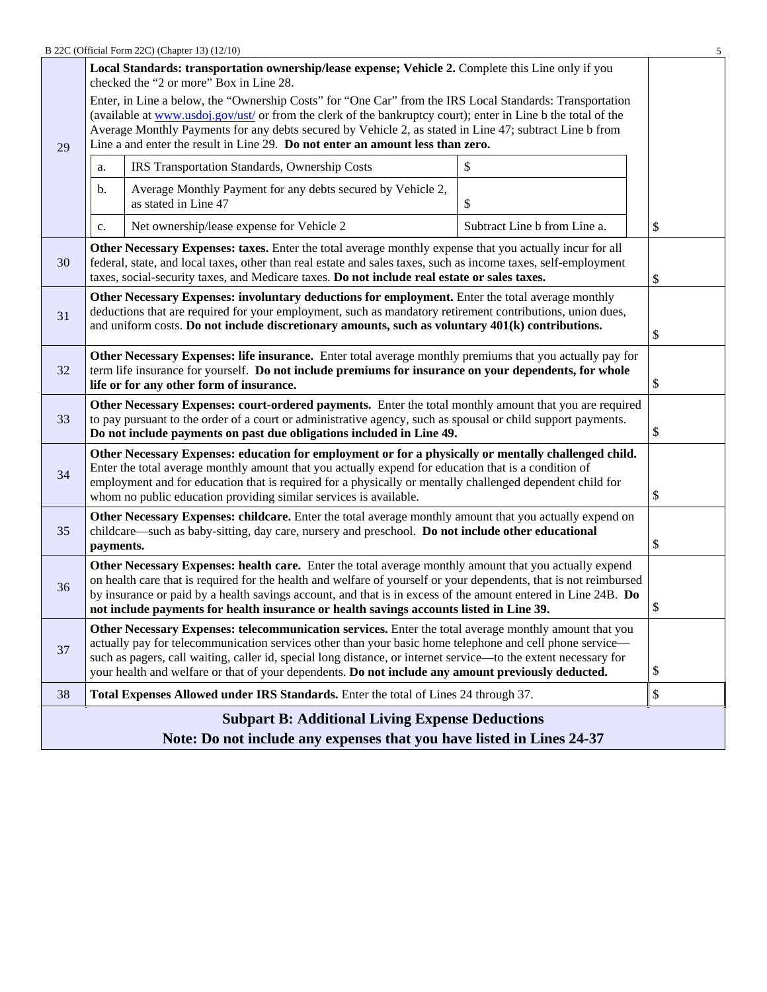|                                                                                                                                                                                                                                                                                                                                                                                                      |                                                                                                                                                                                                                                                                                                                                                                                                                                                  | B 22C (Official Form 22C) (Chapter 13) (12/10)                                                                                                                                                                                                                                                                             |                              | 5  |  |  |
|------------------------------------------------------------------------------------------------------------------------------------------------------------------------------------------------------------------------------------------------------------------------------------------------------------------------------------------------------------------------------------------------------|--------------------------------------------------------------------------------------------------------------------------------------------------------------------------------------------------------------------------------------------------------------------------------------------------------------------------------------------------------------------------------------------------------------------------------------------------|----------------------------------------------------------------------------------------------------------------------------------------------------------------------------------------------------------------------------------------------------------------------------------------------------------------------------|------------------------------|----|--|--|
|                                                                                                                                                                                                                                                                                                                                                                                                      |                                                                                                                                                                                                                                                                                                                                                                                                                                                  | Local Standards: transportation ownership/lease expense; Vehicle 2. Complete this Line only if you<br>checked the "2 or more" Box in Line 28.                                                                                                                                                                              |                              |    |  |  |
| 29                                                                                                                                                                                                                                                                                                                                                                                                   | Enter, in Line a below, the "Ownership Costs" for "One Car" from the IRS Local Standards: Transportation<br>(available at www.usdoj.gov/ust/ or from the clerk of the bankruptcy court); enter in Line b the total of the<br>Average Monthly Payments for any debts secured by Vehicle 2, as stated in Line 47; subtract Line b from<br>Line a and enter the result in Line 29. Do not enter an amount less than zero.                           |                                                                                                                                                                                                                                                                                                                            |                              |    |  |  |
|                                                                                                                                                                                                                                                                                                                                                                                                      | a.                                                                                                                                                                                                                                                                                                                                                                                                                                               | IRS Transportation Standards, Ownership Costs                                                                                                                                                                                                                                                                              | \$                           |    |  |  |
|                                                                                                                                                                                                                                                                                                                                                                                                      | b.                                                                                                                                                                                                                                                                                                                                                                                                                                               | Average Monthly Payment for any debts secured by Vehicle 2,<br>as stated in Line 47                                                                                                                                                                                                                                        | \$                           |    |  |  |
|                                                                                                                                                                                                                                                                                                                                                                                                      | c.                                                                                                                                                                                                                                                                                                                                                                                                                                               | Net ownership/lease expense for Vehicle 2                                                                                                                                                                                                                                                                                  | Subtract Line b from Line a. | \$ |  |  |
| 30                                                                                                                                                                                                                                                                                                                                                                                                   |                                                                                                                                                                                                                                                                                                                                                                                                                                                  | Other Necessary Expenses: taxes. Enter the total average monthly expense that you actually incur for all<br>federal, state, and local taxes, other than real estate and sales taxes, such as income taxes, self-employment<br>taxes, social-security taxes, and Medicare taxes. Do not include real estate or sales taxes. |                              | \$ |  |  |
| Other Necessary Expenses: involuntary deductions for employment. Enter the total average monthly<br>deductions that are required for your employment, such as mandatory retirement contributions, union dues,<br>31<br>and uniform costs. Do not include discretionary amounts, such as voluntary 401(k) contributions.                                                                              |                                                                                                                                                                                                                                                                                                                                                                                                                                                  |                                                                                                                                                                                                                                                                                                                            |                              |    |  |  |
| 32                                                                                                                                                                                                                                                                                                                                                                                                   | Other Necessary Expenses: life insurance. Enter total average monthly premiums that you actually pay for<br>term life insurance for yourself. Do not include premiums for insurance on your dependents, for whole<br>life or for any other form of insurance.                                                                                                                                                                                    |                                                                                                                                                                                                                                                                                                                            |                              |    |  |  |
| 33                                                                                                                                                                                                                                                                                                                                                                                                   | Other Necessary Expenses: court-ordered payments. Enter the total monthly amount that you are required<br>to pay pursuant to the order of a court or administrative agency, such as spousal or child support payments.<br>Do not include payments on past due obligations included in Line 49.                                                                                                                                                   |                                                                                                                                                                                                                                                                                                                            |                              |    |  |  |
| Other Necessary Expenses: education for employment or for a physically or mentally challenged child.<br>Enter the total average monthly amount that you actually expend for education that is a condition of<br>34<br>employment and for education that is required for a physically or mentally challenged dependent child for<br>whom no public education providing similar services is available. |                                                                                                                                                                                                                                                                                                                                                                                                                                                  |                                                                                                                                                                                                                                                                                                                            |                              |    |  |  |
| 35                                                                                                                                                                                                                                                                                                                                                                                                   | Other Necessary Expenses: childcare. Enter the total average monthly amount that you actually expend on<br>childcare—such as baby-sitting, day care, nursery and preschool. Do not include other educational<br>\$<br>payments.                                                                                                                                                                                                                  |                                                                                                                                                                                                                                                                                                                            |                              |    |  |  |
| 36                                                                                                                                                                                                                                                                                                                                                                                                   | Other Necessary Expenses: health care. Enter the total average monthly amount that you actually expend<br>on health care that is required for the health and welfare of yourself or your dependents, that is not reimbursed<br>by insurance or paid by a health savings account, and that is in excess of the amount entered in Line 24B. Do<br>not include payments for health insurance or health savings accounts listed in Line 39.          |                                                                                                                                                                                                                                                                                                                            |                              |    |  |  |
| 37                                                                                                                                                                                                                                                                                                                                                                                                   | Other Necessary Expenses: telecommunication services. Enter the total average monthly amount that you<br>actually pay for telecommunication services other than your basic home telephone and cell phone service—<br>such as pagers, call waiting, caller id, special long distance, or internet service—to the extent necessary for<br>\$<br>your health and welfare or that of your dependents. Do not include any amount previously deducted. |                                                                                                                                                                                                                                                                                                                            |                              |    |  |  |
| 38                                                                                                                                                                                                                                                                                                                                                                                                   |                                                                                                                                                                                                                                                                                                                                                                                                                                                  | Total Expenses Allowed under IRS Standards. Enter the total of Lines 24 through 37.                                                                                                                                                                                                                                        |                              | \$ |  |  |
|                                                                                                                                                                                                                                                                                                                                                                                                      |                                                                                                                                                                                                                                                                                                                                                                                                                                                  | <b>Subpart B: Additional Living Expense Deductions</b>                                                                                                                                                                                                                                                                     |                              |    |  |  |
|                                                                                                                                                                                                                                                                                                                                                                                                      | Note: Do not include any expenses that you have listed in Lines 24-37                                                                                                                                                                                                                                                                                                                                                                            |                                                                                                                                                                                                                                                                                                                            |                              |    |  |  |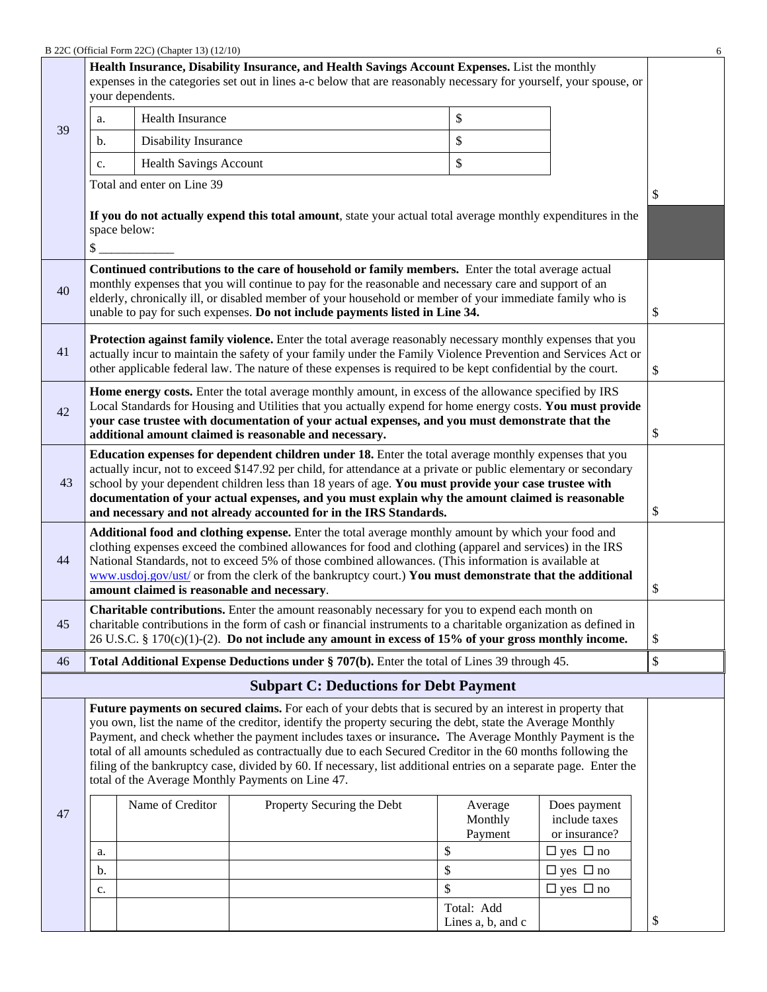|                                                                                                                                    |                                                                                                                                                                                                                                                                                                                                                                                                                                                                                                                                                                                                                            | B 22C (Official Form 22C) (Chapter 13) (12/10) |                                                                                                                                                                                                                                                                                                                                                                                                         |  |                               |                                                | 6  |
|------------------------------------------------------------------------------------------------------------------------------------|----------------------------------------------------------------------------------------------------------------------------------------------------------------------------------------------------------------------------------------------------------------------------------------------------------------------------------------------------------------------------------------------------------------------------------------------------------------------------------------------------------------------------------------------------------------------------------------------------------------------------|------------------------------------------------|---------------------------------------------------------------------------------------------------------------------------------------------------------------------------------------------------------------------------------------------------------------------------------------------------------------------------------------------------------------------------------------------------------|--|-------------------------------|------------------------------------------------|----|
|                                                                                                                                    |                                                                                                                                                                                                                                                                                                                                                                                                                                                                                                                                                                                                                            | your dependents.                               | Health Insurance, Disability Insurance, and Health Savings Account Expenses. List the monthly<br>expenses in the categories set out in lines a-c below that are reasonably necessary for yourself, your spouse, or                                                                                                                                                                                      |  |                               |                                                |    |
|                                                                                                                                    | a.                                                                                                                                                                                                                                                                                                                                                                                                                                                                                                                                                                                                                         | <b>Health Insurance</b>                        |                                                                                                                                                                                                                                                                                                                                                                                                         |  | \$                            |                                                |    |
| 39                                                                                                                                 | b.                                                                                                                                                                                                                                                                                                                                                                                                                                                                                                                                                                                                                         | <b>Disability Insurance</b>                    |                                                                                                                                                                                                                                                                                                                                                                                                         |  | \$                            |                                                |    |
|                                                                                                                                    | c.                                                                                                                                                                                                                                                                                                                                                                                                                                                                                                                                                                                                                         | <b>Health Savings Account</b>                  |                                                                                                                                                                                                                                                                                                                                                                                                         |  | \$                            |                                                |    |
|                                                                                                                                    |                                                                                                                                                                                                                                                                                                                                                                                                                                                                                                                                                                                                                            | Total and enter on Line 39                     |                                                                                                                                                                                                                                                                                                                                                                                                         |  |                               |                                                | \$ |
| If you do not actually expend this total amount, state your actual total average monthly expenditures in the<br>space below:<br>\$ |                                                                                                                                                                                                                                                                                                                                                                                                                                                                                                                                                                                                                            |                                                |                                                                                                                                                                                                                                                                                                                                                                                                         |  |                               |                                                |    |
| 40                                                                                                                                 |                                                                                                                                                                                                                                                                                                                                                                                                                                                                                                                                                                                                                            |                                                | Continued contributions to the care of household or family members. Enter the total average actual<br>monthly expenses that you will continue to pay for the reasonable and necessary care and support of an<br>elderly, chronically ill, or disabled member of your household or member of your immediate family who is<br>unable to pay for such expenses. Do not include payments listed in Line 34. |  |                               |                                                | \$ |
| 41                                                                                                                                 |                                                                                                                                                                                                                                                                                                                                                                                                                                                                                                                                                                                                                            |                                                | Protection against family violence. Enter the total average reasonably necessary monthly expenses that you<br>actually incur to maintain the safety of your family under the Family Violence Prevention and Services Act or<br>other applicable federal law. The nature of these expenses is required to be kept confidential by the court.                                                             |  |                               |                                                | \$ |
| 42                                                                                                                                 | Home energy costs. Enter the total average monthly amount, in excess of the allowance specified by IRS<br>Local Standards for Housing and Utilities that you actually expend for home energy costs. You must provide<br>your case trustee with documentation of your actual expenses, and you must demonstrate that the<br>additional amount claimed is reasonable and necessary.                                                                                                                                                                                                                                          |                                                |                                                                                                                                                                                                                                                                                                                                                                                                         |  |                               |                                                | \$ |
| 43                                                                                                                                 | Education expenses for dependent children under 18. Enter the total average monthly expenses that you<br>actually incur, not to exceed \$147.92 per child, for attendance at a private or public elementary or secondary<br>school by your dependent children less than 18 years of age. You must provide your case trustee with<br>documentation of your actual expenses, and you must explain why the amount claimed is reasonable<br>and necessary and not already accounted for in the IRS Standards.                                                                                                                  |                                                |                                                                                                                                                                                                                                                                                                                                                                                                         |  |                               | \$                                             |    |
| 44                                                                                                                                 | Additional food and clothing expense. Enter the total average monthly amount by which your food and<br>clothing expenses exceed the combined allowances for food and clothing (apparel and services) in the IRS<br>National Standards, not to exceed 5% of those combined allowances. (This information is available at<br>www.usdoj.gov/ust/ or from the clerk of the bankruptcy court.) You must demonstrate that the additional<br>amount claimed is reasonable and necessary.                                                                                                                                          |                                                |                                                                                                                                                                                                                                                                                                                                                                                                         |  |                               | \$                                             |    |
| 45                                                                                                                                 |                                                                                                                                                                                                                                                                                                                                                                                                                                                                                                                                                                                                                            |                                                | Charitable contributions. Enter the amount reasonably necessary for you to expend each month on<br>charitable contributions in the form of cash or financial instruments to a charitable organization as defined in<br>26 U.S.C. § 170(c)(1)-(2). Do not include any amount in excess of 15% of your gross monthly income.                                                                              |  |                               |                                                | \$ |
| 46                                                                                                                                 |                                                                                                                                                                                                                                                                                                                                                                                                                                                                                                                                                                                                                            |                                                | Total Additional Expense Deductions under § 707(b). Enter the total of Lines 39 through 45.                                                                                                                                                                                                                                                                                                             |  |                               |                                                | \$ |
|                                                                                                                                    |                                                                                                                                                                                                                                                                                                                                                                                                                                                                                                                                                                                                                            |                                                | <b>Subpart C: Deductions for Debt Payment</b>                                                                                                                                                                                                                                                                                                                                                           |  |                               |                                                |    |
|                                                                                                                                    | Future payments on secured claims. For each of your debts that is secured by an interest in property that<br>you own, list the name of the creditor, identify the property securing the debt, state the Average Monthly<br>Payment, and check whether the payment includes taxes or insurance. The Average Monthly Payment is the<br>total of all amounts scheduled as contractually due to each Secured Creditor in the 60 months following the<br>filing of the bankruptcy case, divided by 60. If necessary, list additional entries on a separate page. Enter the<br>total of the Average Monthly Payments on Line 47. |                                                |                                                                                                                                                                                                                                                                                                                                                                                                         |  |                               |                                                |    |
| 47                                                                                                                                 |                                                                                                                                                                                                                                                                                                                                                                                                                                                                                                                                                                                                                            | Name of Creditor                               | Property Securing the Debt                                                                                                                                                                                                                                                                                                                                                                              |  | Average<br>Monthly<br>Payment | Does payment<br>include taxes<br>or insurance? |    |
|                                                                                                                                    | a.                                                                                                                                                                                                                                                                                                                                                                                                                                                                                                                                                                                                                         |                                                |                                                                                                                                                                                                                                                                                                                                                                                                         |  | \$<br>\$                      | $\Box$ yes $\Box$ no                           |    |
|                                                                                                                                    | b.<br>c.                                                                                                                                                                                                                                                                                                                                                                                                                                                                                                                                                                                                                   |                                                |                                                                                                                                                                                                                                                                                                                                                                                                         |  | \$                            | $\Box$ yes $\Box$ no<br>$\Box$ yes $\Box$ no   |    |
|                                                                                                                                    |                                                                                                                                                                                                                                                                                                                                                                                                                                                                                                                                                                                                                            |                                                |                                                                                                                                                                                                                                                                                                                                                                                                         |  | Total: Add                    |                                                |    |
|                                                                                                                                    |                                                                                                                                                                                                                                                                                                                                                                                                                                                                                                                                                                                                                            |                                                |                                                                                                                                                                                                                                                                                                                                                                                                         |  | Lines a, b, and c             |                                                | \$ |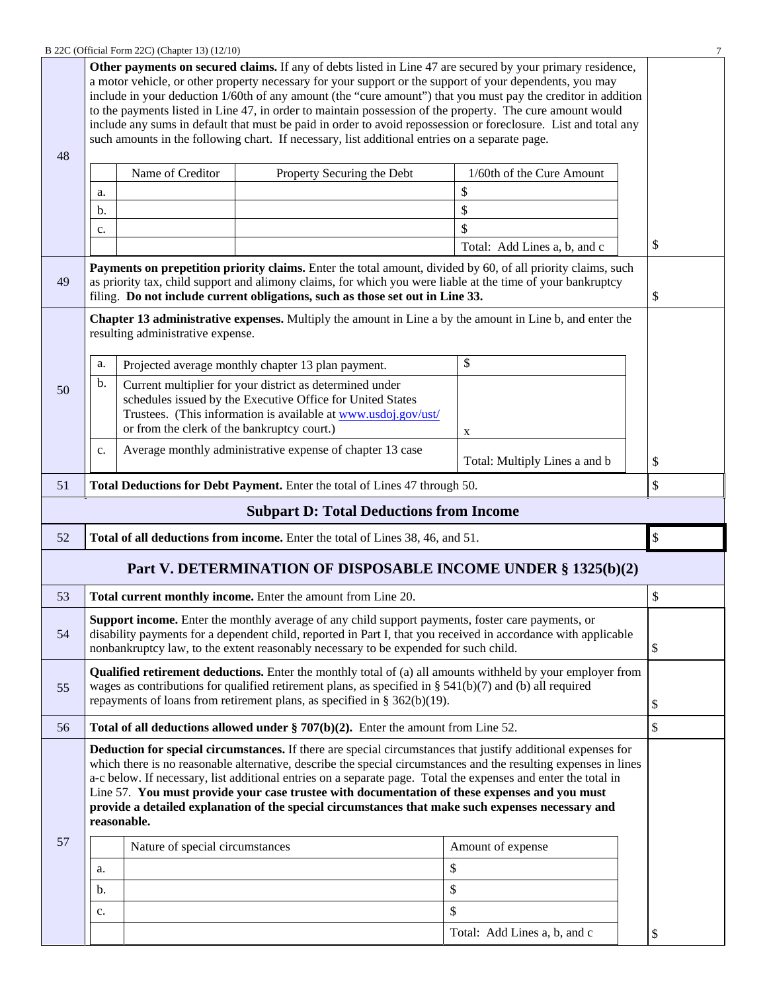| B 22C (Official Form 22C) (Chapter 13) (12/10) |  |
|------------------------------------------------|--|
|------------------------------------------------|--|

|                                                               |                                                                               | B 22C (Official Form 22C) (Chapter 13) (12/10) |                                                                                                                                                                                                                                                                                                                         |                                                                                                                                                                                                                                                                                                                                                | 7  |
|---------------------------------------------------------------|-------------------------------------------------------------------------------|------------------------------------------------|-------------------------------------------------------------------------------------------------------------------------------------------------------------------------------------------------------------------------------------------------------------------------------------------------------------------------|------------------------------------------------------------------------------------------------------------------------------------------------------------------------------------------------------------------------------------------------------------------------------------------------------------------------------------------------|----|
| 48                                                            |                                                                               |                                                | a motor vehicle, or other property necessary for your support or the support of your dependents, you may<br>to the payments listed in Line 47, in order to maintain possession of the property. The cure amount would<br>such amounts in the following chart. If necessary, list additional entries on a separate page. | Other payments on secured claims. If any of debts listed in Line 47 are secured by your primary residence,<br>include in your deduction 1/60th of any amount (the "cure amount") that you must pay the creditor in addition<br>include any sums in default that must be paid in order to avoid repossession or foreclosure. List and total any |    |
|                                                               |                                                                               | Name of Creditor                               | Property Securing the Debt                                                                                                                                                                                                                                                                                              | 1/60th of the Cure Amount                                                                                                                                                                                                                                                                                                                      |    |
|                                                               |                                                                               |                                                |                                                                                                                                                                                                                                                                                                                         | \$                                                                                                                                                                                                                                                                                                                                             |    |
|                                                               | a.                                                                            |                                                |                                                                                                                                                                                                                                                                                                                         |                                                                                                                                                                                                                                                                                                                                                |    |
|                                                               | b.                                                                            |                                                |                                                                                                                                                                                                                                                                                                                         | \$<br>\$                                                                                                                                                                                                                                                                                                                                       |    |
|                                                               | c.                                                                            |                                                |                                                                                                                                                                                                                                                                                                                         |                                                                                                                                                                                                                                                                                                                                                | \$ |
|                                                               |                                                                               |                                                |                                                                                                                                                                                                                                                                                                                         | Total: Add Lines a, b, and c                                                                                                                                                                                                                                                                                                                   |    |
| 49                                                            |                                                                               |                                                | as priority tax, child support and alimony claims, for which you were liable at the time of your bankruptcy<br>filing. Do not include current obligations, such as those set out in Line 33.                                                                                                                            | Payments on prepetition priority claims. Enter the total amount, divided by 60, of all priority claims, such                                                                                                                                                                                                                                   | \$ |
|                                                               |                                                                               | resulting administrative expense.              |                                                                                                                                                                                                                                                                                                                         | Chapter 13 administrative expenses. Multiply the amount in Line a by the amount in Line b, and enter the                                                                                                                                                                                                                                       |    |
|                                                               | a.                                                                            |                                                | Projected average monthly chapter 13 plan payment.                                                                                                                                                                                                                                                                      | \$                                                                                                                                                                                                                                                                                                                                             |    |
| 50                                                            | b.                                                                            | or from the clerk of the bankruptcy court.)    | Current multiplier for your district as determined under<br>schedules issued by the Executive Office for United States<br>Trustees. (This information is available at www.usdoj.gov/ust/                                                                                                                                |                                                                                                                                                                                                                                                                                                                                                |    |
|                                                               |                                                                               |                                                |                                                                                                                                                                                                                                                                                                                         | X                                                                                                                                                                                                                                                                                                                                              |    |
|                                                               | c.                                                                            |                                                | Average monthly administrative expense of chapter 13 case                                                                                                                                                                                                                                                               | Total: Multiply Lines a and b                                                                                                                                                                                                                                                                                                                  | \$ |
| 51                                                            | Total Deductions for Debt Payment. Enter the total of Lines 47 through 50.    |                                                |                                                                                                                                                                                                                                                                                                                         |                                                                                                                                                                                                                                                                                                                                                |    |
|                                                               |                                                                               |                                                | <b>Subpart D: Total Deductions from Income</b>                                                                                                                                                                                                                                                                          |                                                                                                                                                                                                                                                                                                                                                |    |
| 52                                                            | Total of all deductions from income. Enter the total of Lines 38, 46, and 51. |                                                |                                                                                                                                                                                                                                                                                                                         |                                                                                                                                                                                                                                                                                                                                                |    |
| Part V. DETERMINATION OF DISPOSABLE INCOME UNDER § 1325(b)(2) |                                                                               |                                                |                                                                                                                                                                                                                                                                                                                         |                                                                                                                                                                                                                                                                                                                                                |    |
|                                                               |                                                                               |                                                |                                                                                                                                                                                                                                                                                                                         |                                                                                                                                                                                                                                                                                                                                                | \$ |
| 53                                                            |                                                                               |                                                | Total current monthly income. Enter the amount from Line 20.                                                                                                                                                                                                                                                            |                                                                                                                                                                                                                                                                                                                                                | \$ |
| 54                                                            |                                                                               |                                                | Support income. Enter the monthly average of any child support payments, foster care payments, or<br>nonbankruptcy law, to the extent reasonably necessary to be expended for such child.                                                                                                                               | disability payments for a dependent child, reported in Part I, that you received in accordance with applicable                                                                                                                                                                                                                                 | \$ |
| 55                                                            |                                                                               |                                                | wages as contributions for qualified retirement plans, as specified in § $541(b)(7)$ and (b) all required<br>repayments of loans from retirement plans, as specified in $\S 362(b)(19)$ .                                                                                                                               | <b>Qualified retirement deductions.</b> Enter the monthly total of (a) all amounts withheld by your employer from                                                                                                                                                                                                                              | \$ |
| 56                                                            |                                                                               |                                                | Total of all deductions allowed under $\S 707(b)(2)$ . Enter the amount from Line 52.                                                                                                                                                                                                                                   |                                                                                                                                                                                                                                                                                                                                                | \$ |
|                                                               | reasonable.                                                                   |                                                | a-c below. If necessary, list additional entries on a separate page. Total the expenses and enter the total in<br>Line 57. You must provide your case trustee with documentation of these expenses and you must<br>provide a detailed explanation of the special circumstances that make such expenses necessary and    | <b>Deduction for special circumstances.</b> If there are special circumstances that justify additional expenses for<br>which there is no reasonable alternative, describe the special circumstances and the resulting expenses in lines                                                                                                        |    |
| 57                                                            |                                                                               | Nature of special circumstances                |                                                                                                                                                                                                                                                                                                                         | Amount of expense                                                                                                                                                                                                                                                                                                                              |    |
|                                                               | a.                                                                            |                                                |                                                                                                                                                                                                                                                                                                                         | \$                                                                                                                                                                                                                                                                                                                                             |    |
|                                                               | b.                                                                            |                                                |                                                                                                                                                                                                                                                                                                                         |                                                                                                                                                                                                                                                                                                                                                |    |
|                                                               |                                                                               |                                                |                                                                                                                                                                                                                                                                                                                         | \$                                                                                                                                                                                                                                                                                                                                             |    |
|                                                               | c.                                                                            |                                                |                                                                                                                                                                                                                                                                                                                         | \$<br>Total: Add Lines a, b, and c                                                                                                                                                                                                                                                                                                             | \$ |